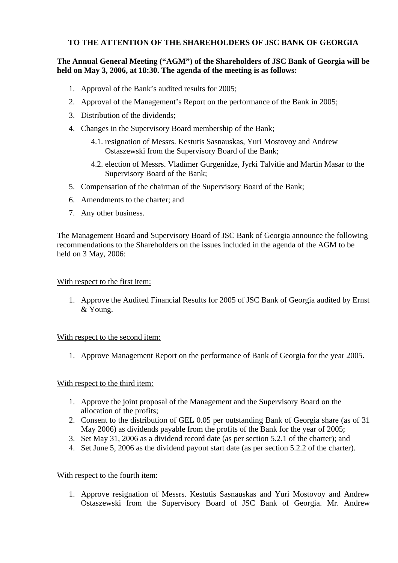# **TO THE ATTENTION OF THE SHAREHOLDERS OF JSC BANK OF GEORGIA**

# **The Annual General Meeting ("AGM") of the Shareholders of JSC Bank of Georgia will be held on May 3, 2006, at 18:30. The agenda of the meeting is as follows:**

- 1. Approval of the Bank's audited results for 2005;
- 2. Approval of the Management's Report on the performance of the Bank in 2005;
- 3. Distribution of the dividends;
- 4. Changes in the Supervisory Board membership of the Bank;
	- 4.1. resignation of Messrs. Kestutis Sasnauskas, Yuri Mostovoy and Andrew Ostaszewski from the Supervisory Board of the Bank;
	- 4.2. election of Messrs. Vladimer Gurgenidze, Jyrki Talvitie and Martin Masar to the Supervisory Board of the Bank;
- 5. Compensation of the chairman of the Supervisory Board of the Bank;
- 6. Amendments to the charter; and
- 7. Any other business.

The Management Board and Supervisory Board of JSC Bank of Georgia announce the following recommendations to the Shareholders on the issues included in the agenda of the AGM to be held on 3 May, 2006:

### With respect to the first item:

1. Approve the Audited Financial Results for 2005 of JSC Bank of Georgia audited by Ernst & Young.

### With respect to the second item:

1. Approve Management Report on the performance of Bank of Georgia for the year 2005.

### With respect to the third item:

- 1. Approve the joint proposal of the Management and the Supervisory Board on the allocation of the profits;
- 2. Consent to the distribution of GEL 0.05 per outstanding Bank of Georgia share (as of 31 May 2006) as dividends payable from the profits of the Bank for the year of 2005;
- 3. Set May 31, 2006 as a dividend record date (as per section 5.2.1 of the charter); and
- 4. Set June 5, 2006 as the dividend payout start date (as per section 5.2.2 of the charter).

### With respect to the fourth item:

1. Approve resignation of Messrs. Kestutis Sasnauskas and Yuri Mostovoy and Andrew Ostaszewski from the Supervisory Board of JSC Bank of Georgia. Mr. Andrew